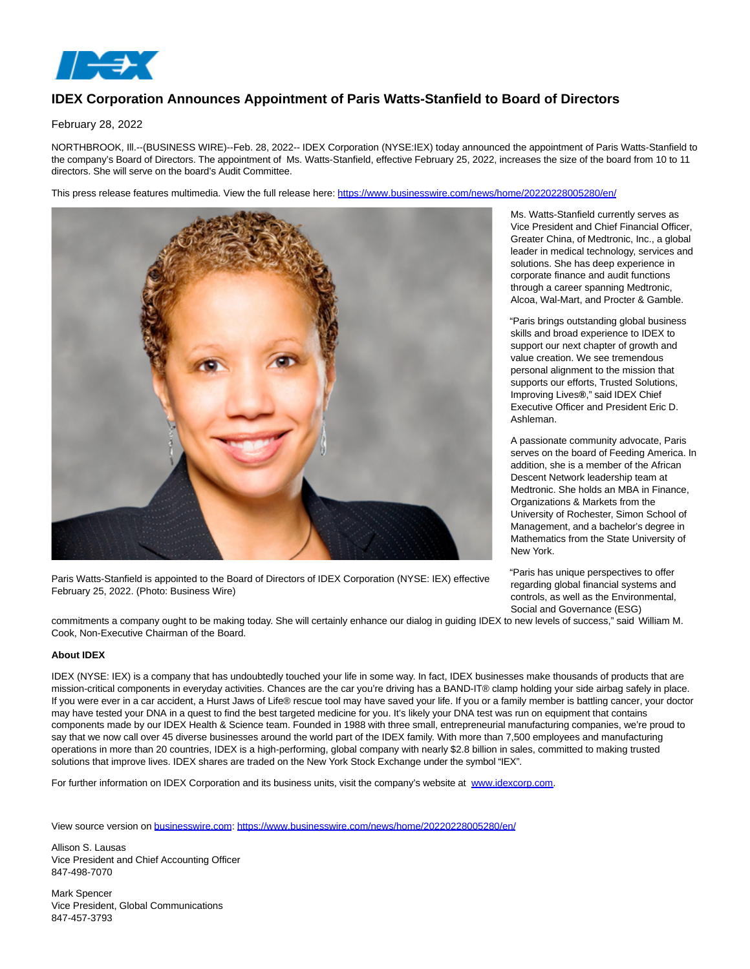

## **IDEX Corporation Announces Appointment of Paris Watts-Stanfield to Board of Directors**

February 28, 2022

NORTHBROOK, Ill.--(BUSINESS WIRE)--Feb. 28, 2022-- IDEX Corporation (NYSE:IEX) today announced the appointment of Paris Watts-Stanfield to the company's Board of Directors. The appointment of Ms. Watts-Stanfield, effective February 25, 2022, increases the size of the board from 10 to 11 directors. She will serve on the board's Audit Committee.

This press release features multimedia. View the full release here:<https://www.businesswire.com/news/home/20220228005280/en/>



Paris Watts-Stanfield is appointed to the Board of Directors of IDEX Corporation (NYSE: IEX) effective February 25, 2022. (Photo: Business Wire)

Ms. Watts-Stanfield currently serves as Vice President and Chief Financial Officer, Greater China, of Medtronic, Inc., a global leader in medical technology, services and solutions. She has deep experience in corporate finance and audit functions through a career spanning Medtronic, Alcoa, Wal-Mart, and Procter & Gamble.

"Paris brings outstanding global business skills and broad experience to IDEX to support our next chapter of growth and value creation. We see tremendous personal alignment to the mission that supports our efforts, Trusted Solutions, Improving Lives**®**," said IDEX Chief Executive Officer and President Eric D. Ashleman.

A passionate community advocate, Paris serves on the board of Feeding America. In addition, she is a member of the African Descent Network leadership team at Medtronic. She holds an MBA in Finance, Organizations & Markets from the University of Rochester, Simon School of Management, and a bachelor's degree in Mathematics from the State University of New York.

"Paris has unique perspectives to offer regarding global financial systems and controls, as well as the Environmental, Social and Governance (ESG)

commitments a company ought to be making today. She will certainly enhance our dialog in guiding IDEX to new levels of success," said William M. Cook, Non-Executive Chairman of the Board.

## **About IDEX**

IDEX (NYSE: IEX) is a company that has undoubtedly touched your life in some way. In fact, IDEX businesses make thousands of products that are mission-critical components in everyday activities. Chances are the car you're driving has a BAND-IT® clamp holding your side airbag safely in place. If you were ever in a car accident, a Hurst Jaws of Life® rescue tool may have saved your life. If you or a family member is battling cancer, your doctor may have tested your DNA in a quest to find the best targeted medicine for you. It's likely your DNA test was run on equipment that contains components made by our IDEX Health & Science team. Founded in 1988 with three small, entrepreneurial manufacturing companies, we're proud to say that we now call over 45 diverse businesses around the world part of the IDEX family. With more than 7,500 employees and manufacturing operations in more than 20 countries, IDEX is a high-performing, global company with nearly \$2.8 billion in sales, committed to making trusted solutions that improve lives. IDEX shares are traded on the New York Stock Exchange under the symbol "IEX".

For further information on IDEX Corporation and its business units, visit the company's website at [www.idexcorp.com.](https://cts.businesswire.com/ct/CT?id=smartlink&url=http%3A%2F%2Fwww.idexcorp.com&esheet=52586178&newsitemid=20220228005280&lan=en-US&anchor=www.idexcorp.com&index=1&md5=ab87393c62e4c9a0fd69989047a08e25)

View source version on [businesswire.com:](http://businesswire.com/)<https://www.businesswire.com/news/home/20220228005280/en/>

Allison S. Lausas Vice President and Chief Accounting Officer 847-498-7070

Mark Spencer Vice President, Global Communications 847-457-3793